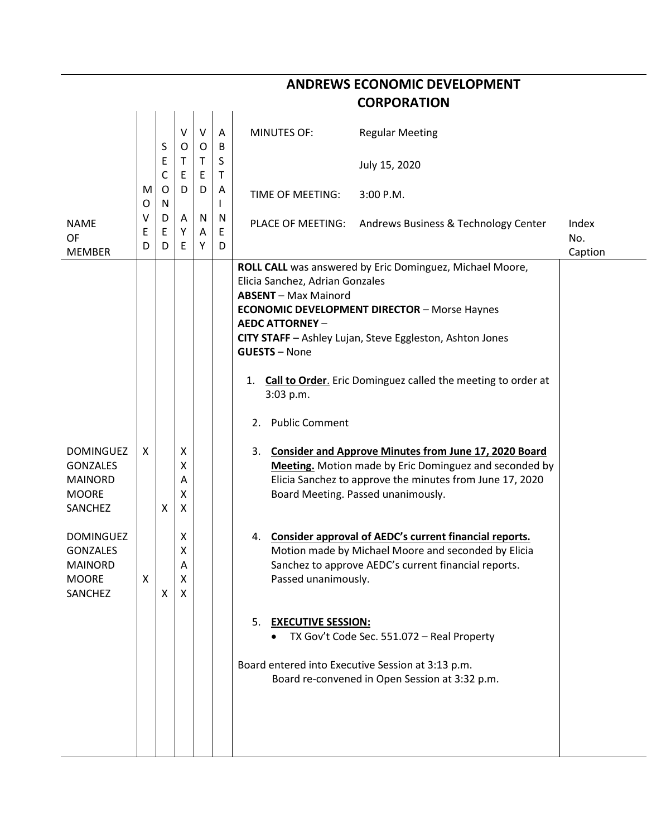|                                                                                         |             |             |                       |                         |             |                                                                                                                                                    | <b>CORPORATION</b>                                                                                                                                                                                                                             |                         |
|-----------------------------------------------------------------------------------------|-------------|-------------|-----------------------|-------------------------|-------------|----------------------------------------------------------------------------------------------------------------------------------------------------|------------------------------------------------------------------------------------------------------------------------------------------------------------------------------------------------------------------------------------------------|-------------------------|
|                                                                                         |             | S           | $\vee$<br>$\circ$     | $\mathsf{V}$<br>$\circ$ | A<br>B      | <b>MINUTES OF:</b>                                                                                                                                 | <b>Regular Meeting</b>                                                                                                                                                                                                                         |                         |
|                                                                                         |             | Ε<br>C      | $\mathsf{T}$<br>E     | $\mathsf{T}$<br>E       | S<br>T      |                                                                                                                                                    | July 15, 2020                                                                                                                                                                                                                                  |                         |
|                                                                                         | M<br>O      | O<br>N      | D                     | D                       | Α<br>I.     | TIME OF MEETING:                                                                                                                                   | 3:00 P.M.                                                                                                                                                                                                                                      |                         |
| <b>NAME</b><br>OF<br><b>MEMBER</b>                                                      | v<br>Ε<br>D | D<br>E<br>D | A<br>Y<br>E           | N<br>A<br>Y             | N<br>Ε<br>D | PLACE OF MEETING:                                                                                                                                  | Andrews Business & Technology Center                                                                                                                                                                                                           | Index<br>No.<br>Caption |
|                                                                                         |             |             |                       |                         |             | Elicia Sanchez, Adrian Gonzales<br><b>ABSENT</b> - Max Mainord<br><b>AEDC ATTORNEY -</b><br><b>GUESTS - None</b><br>3:03 p.m.<br>2. Public Comment | ROLL CALL was answered by Eric Dominguez, Michael Moore,<br><b>ECONOMIC DEVELOPMENT DIRECTOR - Morse Haynes</b><br>CITY STAFF - Ashley Lujan, Steve Eggleston, Ashton Jones<br>1. Call to Order. Eric Dominguez called the meeting to order at |                         |
| <b>DOMINGUEZ</b><br><b>GONZALES</b><br><b>MAINORD</b><br><b>MOORE</b><br>SANCHEZ        | X           | X           | X<br>Χ<br>Α<br>X<br>X |                         |             | 3.                                                                                                                                                 | <b>Consider and Approve Minutes from June 17, 2020 Board</b><br>Meeting. Motion made by Eric Dominguez and seconded by<br>Elicia Sanchez to approve the minutes from June 17, 2020<br>Board Meeting. Passed unanimously.                       |                         |
| <b>DOMINGUEZ</b><br><b>GONZALES</b><br><b>MAINORD</b><br><b>MOORE</b><br><b>SANCHEZ</b> | X           | X           | X<br>x<br>Α<br>X<br>X |                         |             | Passed unanimously.                                                                                                                                | 4. Consider approval of AEDC's current financial reports.<br>Motion made by Michael Moore and seconded by Elicia<br>Sanchez to approve AEDC's current financial reports.                                                                       |                         |
|                                                                                         |             |             |                       |                         |             | <b>EXECUTIVE SESSION:</b><br>5.                                                                                                                    | TX Gov't Code Sec. 551.072 - Real Property<br>Board entered into Executive Session at 3:13 p.m.<br>Board re-convened in Open Session at 3:32 p.m.                                                                                              |                         |

## **ANDREWS ECONOMIC DEVELOPMENT**